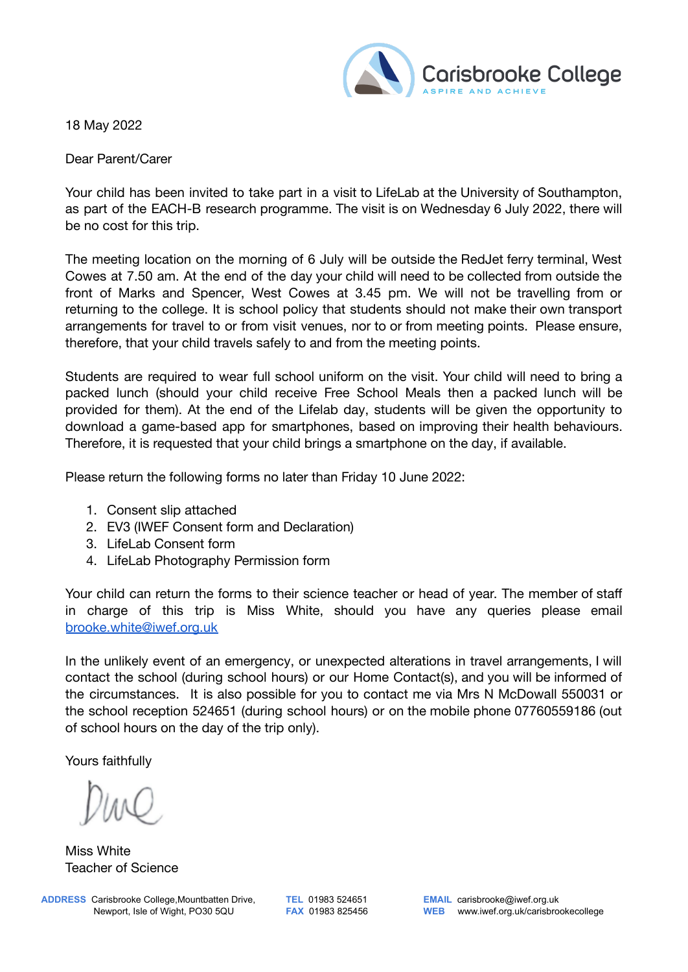

18 May 2022

Dear Parent/Carer

Your child has been invited to take part in a visit to LifeLab at the University of Southampton, as part of the EACH-B research programme. The visit is on Wednesday 6 July 2022, there will be no cost for this trip.

The meeting location on the morning of 6 July will be outside the RedJet ferry terminal, West Cowes at 7.50 am. At the end of the day your child will need to be collected from outside the front of Marks and Spencer, West Cowes at 3.45 pm. We will not be travelling from or returning to the college. It is school policy that students should not make their own transport arrangements for travel to or from visit venues, nor to or from meeting points. Please ensure, therefore, that your child travels safely to and from the meeting points.

Students are required to wear full school uniform on the visit. Your child will need to bring a packed lunch (should your child receive Free School Meals then a packed lunch will be provided for them). At the end of the Lifelab day, students will be given the opportunity to download a game-based app for smartphones, based on improving their health behaviours. Therefore, it is requested that your child brings a smartphone on the day, if available.

Please return the following forms no later than Friday 10 June 2022:

- 1. Consent slip attached
- 2. EV3 (IWEF Consent form and Declaration)
- 3. LifeLab Consent form
- 4. LifeLab Photography Permission form

Your child can return the forms to their science teacher or head of year. The member of staff in charge of this trip is Miss White, should you have any queries please email [brooke.white@iwef.org.uk](mailto:brooke.white@iwef.org.uk)

In the unlikely event of an emergency, or unexpected alterations in travel arrangements, I will contact the school (during school hours) or our Home Contact(s), and you will be informed of the circumstances. It is also possible for you to contact me via Mrs N McDowall 550031 or the school reception 524651 (during school hours) or on the mobile phone 07760559186 (out of school hours on the day of the trip only).

Yours faithfully

Miss White Teacher of Science